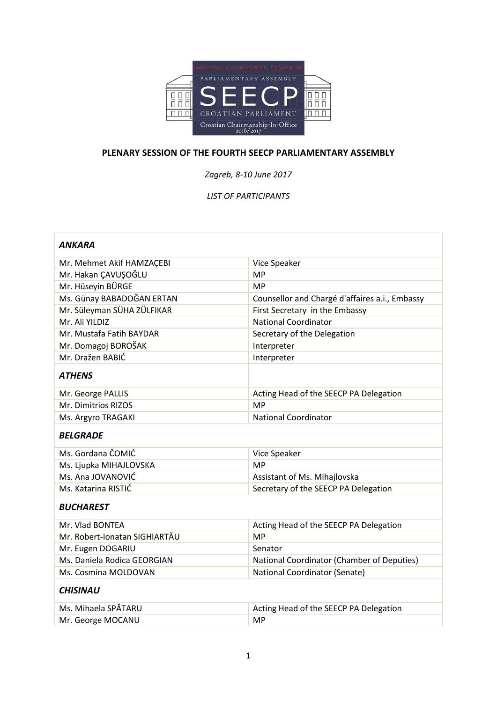

## **PLENARY SESSION OF THE FOURTH SEECP PARLIAMENTARY ASSEMBLY**

*Zagreb, 8-10 June 2017*

## *LIST OF PARTICIPANTS*

| ANKARA                        |                                                |  |
|-------------------------------|------------------------------------------------|--|
| Mr. Mehmet Akif HAMZAÇEBI     | Vice Speaker                                   |  |
| Mr. Hakan ÇAVUŞOĞLU           | <b>MP</b>                                      |  |
| Mr. Hüseyin BÜRGE             | <b>MP</b>                                      |  |
| Ms. Günay BABADOĞAN ERTAN     | Counsellor and Chargé d'affaires a.i., Embassy |  |
| Mr. Süleyman SÜHA ZÜLFIKAR    | First Secretary in the Embassy                 |  |
| Mr. Ali YILDIZ                | <b>National Coordinator</b>                    |  |
| Mr. Mustafa Fatih BAYDAR      | Secretary of the Delegation                    |  |
| Mr. Domagoj BOROŠAK           | Interpreter                                    |  |
| Mr. Dražen BABIĆ              | Interpreter                                    |  |
| <b>ATHENS</b>                 |                                                |  |
| Mr. George PALLIS             | Acting Head of the SEECP PA Delegation         |  |
| Mr. Dimitrios RIZOS           | <b>MP</b>                                      |  |
| Ms. Argyro TRAGAKI            | <b>National Coordinator</b>                    |  |
| <b>BELGRADE</b>               |                                                |  |
| Ms. Gordana ČOMIĆ             | Vice Speaker                                   |  |
| Ms. Ljupka MIHAJLOVSKA        | <b>MP</b>                                      |  |
| Ms. Ana JOVANOVIĆ             | Assistant of Ms. Mihajlovska                   |  |
| Ms. Katarina RISTIĆ           | Secretary of the SEECP PA Delegation           |  |
| <b>BUCHAREST</b>              |                                                |  |
| Mr. Vlad BONTEA               | Acting Head of the SEECP PA Delegation         |  |
| Mr. Robert-Ionatan SIGHIARTĂU | <b>MP</b>                                      |  |
| Mr. Eugen DOGARIU             | Senator                                        |  |
| Ms. Daniela Rodica GEORGIAN   | National Coordinator (Chamber of Deputies)     |  |
| Ms. Cosmina MOLDOVAN          | <b>National Coordinator (Senate)</b>           |  |
| <b>CHISINAU</b>               |                                                |  |
| Ms. Mihaela SPĂTARU           | Acting Head of the SEECP PA Delegation         |  |
| Mr. George MOCANU             | <b>MP</b>                                      |  |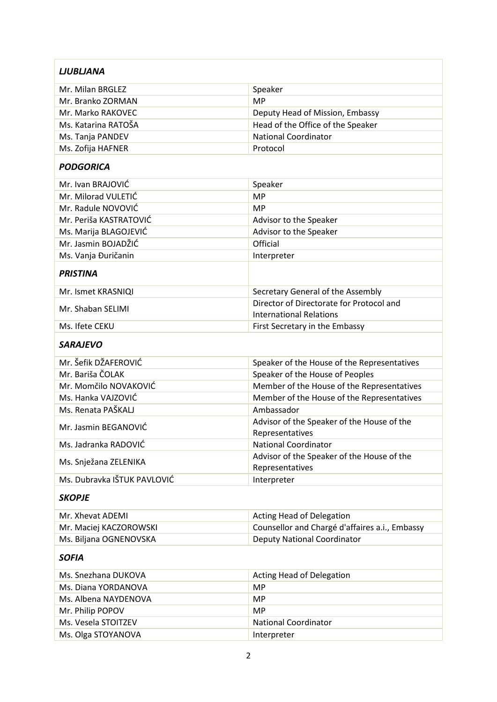| <b>LJUBLJANA</b>            |                                                               |  |
|-----------------------------|---------------------------------------------------------------|--|
| Mr. Milan BRGLEZ            | Speaker                                                       |  |
| Mr. Branko ZORMAN           | <b>MP</b>                                                     |  |
| Mr. Marko RAKOVEC           | Deputy Head of Mission, Embassy                               |  |
| Ms. Katarina RATOŠA         | Head of the Office of the Speaker                             |  |
| Ms. Tanja PANDEV            | <b>National Coordinator</b>                                   |  |
| Ms. Zofija HAFNER           | Protocol                                                      |  |
| <b>PODGORICA</b>            |                                                               |  |
| Mr. Ivan BRAJOVIĆ           | Speaker                                                       |  |
| Mr. Milorad VULETIĆ         | <b>MP</b>                                                     |  |
| Mr. Radule NOVOVIĆ          | <b>MP</b>                                                     |  |
| Mr. Periša KASTRATOVIĆ      | Advisor to the Speaker                                        |  |
| Ms. Marija BLAGOJEVIĆ       | Advisor to the Speaker                                        |  |
| Mr. Jasmin BOJADŽIĆ         | Official                                                      |  |
| Ms. Vanja Đuričanin         | Interpreter                                                   |  |
| <b>PRISTINA</b>             |                                                               |  |
| Mr. Ismet KRASNIQI          | Secretary General of the Assembly                             |  |
|                             | Director of Directorate for Protocol and                      |  |
| Mr. Shaban SELIMI           | <b>International Relations</b>                                |  |
| Ms. Ifete CEKU              | First Secretary in the Embassy                                |  |
| <b>SARAJEVO</b>             |                                                               |  |
| Mr. Šefik DŽAFEROVIĆ        | Speaker of the House of the Representatives                   |  |
| Mr. Bariša ČOLAK            | Speaker of the House of Peoples                               |  |
| Mr. Momčilo NOVAKOVIĆ       | Member of the House of the Representatives                    |  |
| Ms. Hanka VAJZOVIĆ          | Member of the House of the Representatives                    |  |
| Ms. Renata PAŠKALJ          | Ambassador                                                    |  |
| Mr. Jasmin BEGANOVIĆ        | Advisor of the Speaker of the House of the<br>Representatives |  |
| Ms. Jadranka RADOVIĆ        | <b>National Coordinator</b>                                   |  |
| Ms. Snježana ZELENIKA       | Advisor of the Speaker of the House of the<br>Representatives |  |
| Ms. Dubravka IŠTUK PAVLOVIĆ | Interpreter                                                   |  |
| <b>SKOPJE</b>               |                                                               |  |
| Mr. Xhevat ADEMI            | Acting Head of Delegation                                     |  |
| Mr. Maciej KACZOROWSKI      | Counsellor and Chargé d'affaires a.i., Embassy                |  |
| Ms. Biljana OGNENOVSKA      | <b>Deputy National Coordinator</b>                            |  |
| <b>SOFIA</b>                |                                                               |  |
| Ms. Snezhana DUKOVA         | Acting Head of Delegation                                     |  |
| Ms. Diana YORDANOVA         | <b>MP</b>                                                     |  |
| Ms. Albena NAYDENOVA        | <b>MP</b>                                                     |  |
| Mr. Philip POPOV            | <b>MP</b>                                                     |  |
| Ms. Vesela STOITZEV         | <b>National Coordinator</b>                                   |  |
| Ms. Olga STOYANOVA          | Interpreter                                                   |  |